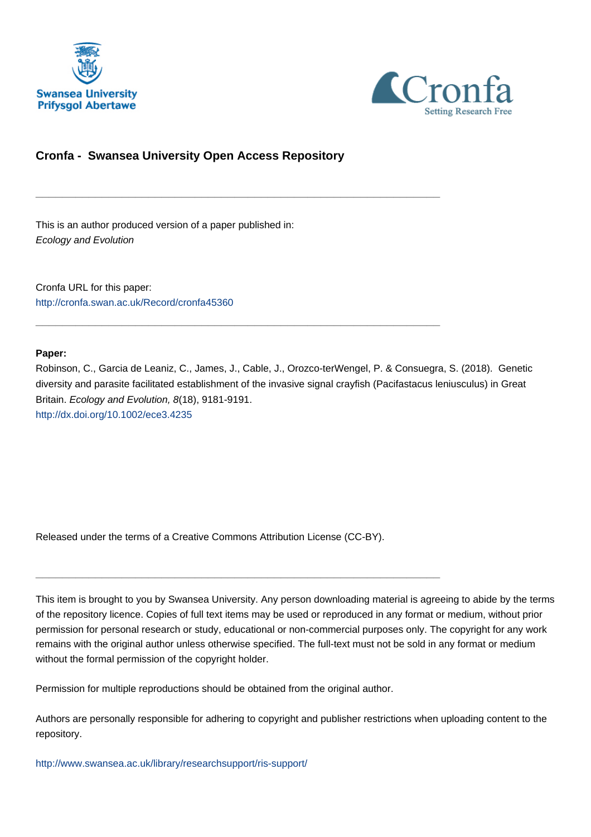



## **Cronfa - Swansea University Open Access Repository**

\_\_\_\_\_\_\_\_\_\_\_\_\_\_\_\_\_\_\_\_\_\_\_\_\_\_\_\_\_\_\_\_\_\_\_\_\_\_\_\_\_\_\_\_\_\_\_\_\_\_\_\_\_\_\_\_\_\_\_\_\_

\_\_\_\_\_\_\_\_\_\_\_\_\_\_\_\_\_\_\_\_\_\_\_\_\_\_\_\_\_\_\_\_\_\_\_\_\_\_\_\_\_\_\_\_\_\_\_\_\_\_\_\_\_\_\_\_\_\_\_\_\_

This is an author produced version of a paper published in: Ecology and Evolution

Cronfa URL for this paper: <http://cronfa.swan.ac.uk/Record/cronfa45360>

### **Paper:**

Robinson, C., Garcia de Leaniz, C., James, J., Cable, J., Orozco-terWengel, P. & Consuegra, S. (2018). Genetic diversity and parasite facilitated establishment of the invasive signal crayfish (Pacifastacus leniusculus) in Great Britain. Ecology and Evolution, 8(18), 9181-9191. <http://dx.doi.org/10.1002/ece3.4235>

Released under the terms of a Creative Commons Attribution License (CC-BY).

\_\_\_\_\_\_\_\_\_\_\_\_\_\_\_\_\_\_\_\_\_\_\_\_\_\_\_\_\_\_\_\_\_\_\_\_\_\_\_\_\_\_\_\_\_\_\_\_\_\_\_\_\_\_\_\_\_\_\_\_\_

This item is brought to you by Swansea University. Any person downloading material is agreeing to abide by the terms of the repository licence. Copies of full text items may be used or reproduced in any format or medium, without prior permission for personal research or study, educational or non-commercial purposes only. The copyright for any work remains with the original author unless otherwise specified. The full-text must not be sold in any format or medium without the formal permission of the copyright holder.

Permission for multiple reproductions should be obtained from the original author.

Authors are personally responsible for adhering to copyright and publisher restrictions when uploading content to the repository.

[http://www.swansea.ac.uk/library/researchsupport/ris-support/](http://www.swansea.ac.uk/library/researchsupport/ris-support/ )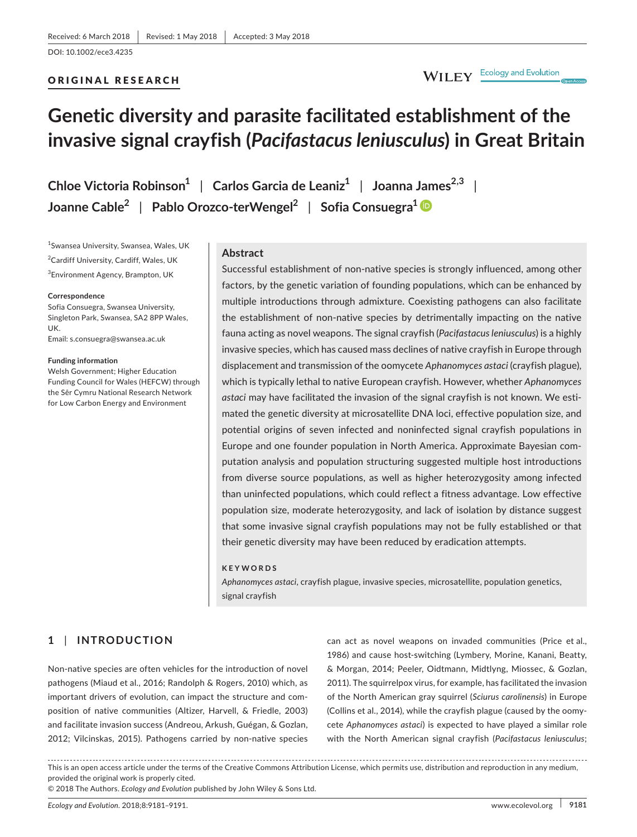#### ORIGINAL RESEARCH

# WILEY Ecology and Evolution

# **Genetic diversity and parasite facilitated establishment of the invasive signal crayfish (***Pacifastacus leniusculus***) in Great Britain**

**Chloe Victoria Robinson<sup>1</sup>** | **Carlos Garcia de Leaniz<sup>1</sup>** | **Joanna James2,3** | **Joanne Cable<sup>2</sup>** | **Pablo Orozco-terWengel<sup>2</sup>** | **Sofia Consuegra<sup>1</sup>**

1 Swansea University, Swansea, Wales, UK 2 Cardiff University, Cardiff, Wales, UK 3 Environment Agency, Brampton, UK

#### **Correspondence**

Sofia Consuegra, Swansea University, Singleton Park, Swansea, SA2 8PP Wales, UK. Email: s.consuegra@swansea.ac.uk

#### **Funding information**

Welsh Government; Higher Education Funding Council for Wales (HEFCW) through the Sêr Cymru National Research Network for Low Carbon Energy and Environment

#### **Abstract**

Successful establishment of non-native species is strongly influenced, among other factors, by the genetic variation of founding populations, which can be enhanced by multiple introductions through admixture. Coexisting pathogens can also facilitate the establishment of non-native species by detrimentally impacting on the native fauna acting as novel weapons. The signal crayfish (*Pacifastacus leniusculus*) is a highly invasive species, which has caused mass declines of native crayfish in Europe through displacement and transmission of the oomycete *Aphanomyces astaci* (crayfish plague), which is typically lethal to native European crayfish. However, whether *Aphanomyces astaci* may have facilitated the invasion of the signal crayfish is not known. We estimated the genetic diversity at microsatellite DNA loci, effective population size, and potential origins of seven infected and noninfected signal crayfish populations in Europe and one founder population in North America. Approximate Bayesian computation analysis and population structuring suggested multiple host introductions from diverse source populations, as well as higher heterozygosity among infected than uninfected populations, which could reflect a fitness advantage. Low effective population size, moderate heterozygosity, and lack of isolation by distance suggest that some invasive signal crayfish populations may not be fully established or that their genetic diversity may have been reduced by eradication attempts.

#### **KEYWORDS**

*Aphanomyces astaci*, crayfish plague, invasive species, microsatellite, population genetics, signal crayfish

#### **1** | **INTRODUCTION**

Non-native species are often vehicles for the introduction of novel pathogens (Miaud et al., 2016; Randolph & Rogers, 2010) which, as important drivers of evolution, can impact the structure and composition of native communities (Altizer, Harvell, & Friedle, 2003) and facilitate invasion success (Andreou, Arkush, Guégan, & Gozlan, 2012; Vilcinskas, 2015). Pathogens carried by non-native species

can act as novel weapons on invaded communities (Price et al., 1986) and cause host-switching (Lymbery, Morine, Kanani, Beatty, & Morgan, 2014; Peeler, Oidtmann, Midtlyng, Miossec, & Gozlan, 2011). The squirrelpox virus, for example, has facilitated the invasion of the North American gray squirrel (*Sciurus carolinensis*) in Europe (Collins et al., 2014), while the crayfish plague (caused by the oomycete *Aphanomyces astaci*) is expected to have played a similar role with the North American signal crayfish (*Pacifastacus leniusculus*;

This is an open access article under the terms of the Creative Commons Attribution License, which permits use, distribution and reproduction in any medium, provided the original work is properly cited.

© 2018 The Authors. *Ecology and Evolution* published by John Wiley & Sons Ltd.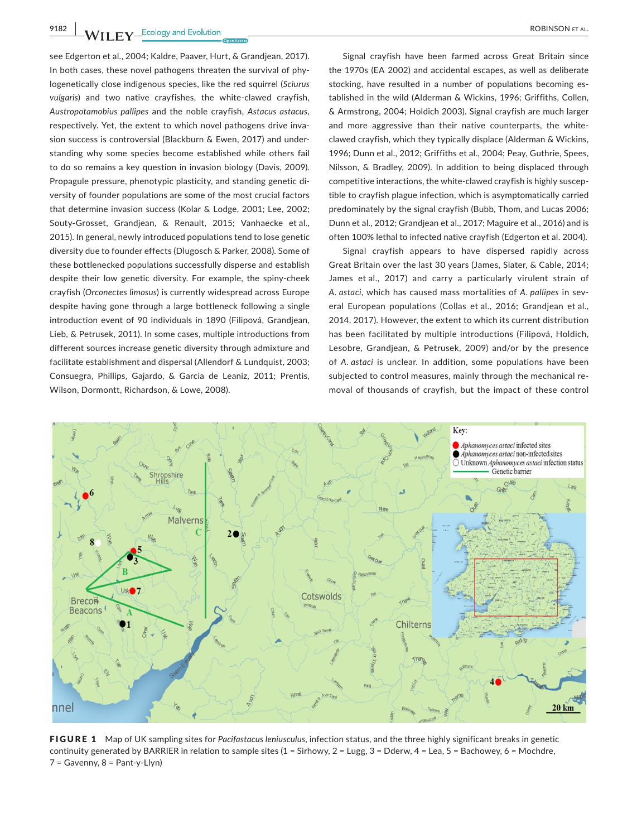**9182 WII FY** Ecology and Evolution <u>Construction Construction and the ROBINSON ET AL.</u>

see Edgerton et al., 2004; Kaldre, Paaver, Hurt, & Grandjean, 2017). In both cases, these novel pathogens threaten the survival of phylogenetically close indigenous species, like the red squirrel (*Sciurus vulgaris*) and two native crayfishes, the white-clawed crayfish, *Austropotamobius pallipes* and the noble crayfish, *Astacus astacus,* respectively. Yet, the extent to which novel pathogens drive invasion success is controversial (Blackburn & Ewen, 2017) and understanding why some species become established while others fail to do so remains a key question in invasion biology (Davis, 2009). Propagule pressure, phenotypic plasticity, and standing genetic diversity of founder populations are some of the most crucial factors that determine invasion success (Kolar & Lodge, 2001; Lee, 2002; Souty-Grosset, Grandjean, & Renault, 2015; Vanhaecke et al., 2015). In general, newly introduced populations tend to lose genetic diversity due to founder effects (Dlugosch & Parker, 2008). Some of these bottlenecked populations successfully disperse and establish despite their low genetic diversity. For example, the spiny-cheek crayfish (*Orconectes limosus*) is currently widespread across Europe despite having gone through a large bottleneck following a single introduction event of 90 individuals in 1890 (Filipová, Grandjean, Lieb, & Petrusek, 2011). In some cases, multiple introductions from different sources increase genetic diversity through admixture and facilitate establishment and dispersal (Allendorf & Lundquist, 2003; Consuegra, Phillips, Gajardo, & Garcia de Leaniz, 2011; Prentis, Wilson, Dormontt, Richardson, & Lowe, 2008).

Signal crayfish have been farmed across Great Britain since the 1970s (EA 2002) and accidental escapes, as well as deliberate stocking, have resulted in a number of populations becoming established in the wild (Alderman & Wickins, 1996; Griffiths, Collen, & Armstrong, 2004; Holdich 2003). Signal crayfish are much larger and more aggressive than their native counterparts, the whiteclawed crayfish, which they typically displace (Alderman & Wickins, 1996; Dunn et al., 2012; Griffiths et al., 2004; Peay, Guthrie, Spees, Nilsson, & Bradley, 2009). In addition to being displaced through competitive interactions, the white-clawed crayfish is highly susceptible to crayfish plague infection, which is asymptomatically carried predominately by the signal crayfish (Bubb, Thom, and Lucas 2006; Dunn et al., 2012; Grandjean et al., 2017; Maguire et al., 2016) and is often 100% lethal to infected native crayfish (Edgerton et al. 2004).

Signal crayfish appears to have dispersed rapidly across Great Britain over the last 30 years (James, Slater, & Cable, 2014; James et al., 2017) and carry a particularly virulent strain of *A. astaci*, which has caused mass mortalities of *A. pallipes* in several European populations (Collas et al., 2016; Grandjean et al., 2014, 2017). However, the extent to which its current distribution has been facilitated by multiple introductions (Filipová, Holdich, Lesobre, Grandjean, & Petrusek, 2009) and/or by the presence of *A. astaci* is unclear. In addition, some populations have been subjected to control measures, mainly through the mechanical removal of thousands of crayfish, but the impact of these control



FIGURE 1 Map of UK sampling sites for *Pacifastacus leniusculus*, infection status, and the three highly significant breaks in genetic continuity generated by BARRIER in relation to sample sites (1 = Sirhowy, 2 = Lugg, 3 = Dderw, 4 = Lea, 5 = Bachowey, 6 = Mochdre, 7 = Gavenny, 8 = Pant-y-Llyn)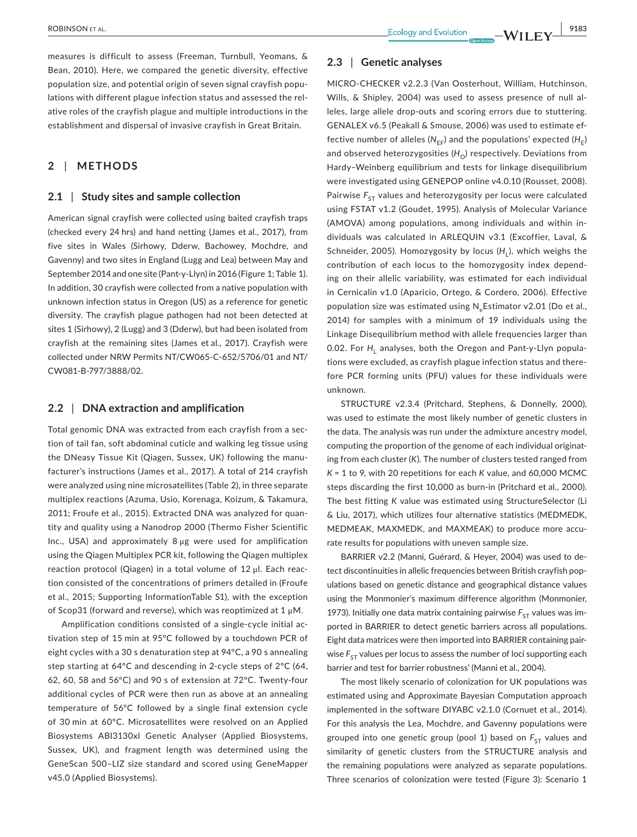measures is difficult to assess (Freeman, Turnbull, Yeomans, & Bean, 2010). Here, we compared the genetic diversity, effective population size, and potential origin of seven signal crayfish populations with different plague infection status and assessed the relative roles of the crayfish plague and multiple introductions in the establishment and dispersal of invasive crayfish in Great Britain.

#### **2** | **METHODS**

#### **2.1** | **Study sites and sample collection**

American signal crayfish were collected using baited crayfish traps (checked every 24 hrs) and hand netting (James et al., 2017), from five sites in Wales (Sirhowy, Dderw, Bachowey, Mochdre, and Gavenny) and two sites in England (Lugg and Lea) between May and September 2014 and one site (Pant-y-Llyn) in 2016 (Figure 1; Table 1). In addition, 30 crayfish were collected from a native population with unknown infection status in Oregon (US) as a reference for genetic diversity. The crayfish plague pathogen had not been detected at sites 1 (Sirhowy), 2 (Lugg) and 3 (Dderw), but had been isolated from crayfish at the remaining sites (James et al., 2017). Crayfish were collected under NRW Permits NT/CW065-C-652/5706/01 and NT/ CW081-B-797/3888/02.

#### **2.2** | **DNA extraction and amplification**

Total genomic DNA was extracted from each crayfish from a section of tail fan, soft abdominal cuticle and walking leg tissue using the DNeasy Tissue Kit (Qiagen, Sussex, UK) following the manufacturer's instructions (James et al., 2017). A total of 214 crayfish were analyzed using nine microsatellites (Table 2), in three separate multiplex reactions (Azuma, Usio, Korenaga, Koizum, & Takamura, 2011; Froufe et al., 2015). Extracted DNA was analyzed for quantity and quality using a Nanodrop 2000 (Thermo Fisher Scientific Inc., USA) and approximately 8 μg were used for amplification using the Qiagen Multiplex PCR kit, following the Qiagen multiplex reaction protocol (Qiagen) in a total volume of 12 μl. Each reaction consisted of the concentrations of primers detailed in (Froufe et al., 2015; Supporting InformationTable S1), with the exception of Scop31 (forward and reverse), which was reoptimized at 1 μM.

Amplification conditions consisted of a single-cycle initial activation step of 15 min at 95°C followed by a touchdown PCR of eight cycles with a 30 s denaturation step at 94°C, a 90 s annealing step starting at 64°C and descending in 2-cycle steps of 2°C (64, 62, 60, 58 and 56°C) and 90 s of extension at 72°C. Twenty-four additional cycles of PCR were then run as above at an annealing temperature of 56°C followed by a single final extension cycle of 30 min at 60°C. Microsatellites were resolved on an Applied Biosystems ABI3130xl Genetic Analyser (Applied Biosystems, Sussex, UK), and fragment length was determined using the GeneScan 500–LIZ size standard and scored using GeneMapper v45.0 (Applied Biosystems).

#### **2.3** | **Genetic analyses**

MICRO-CHECKER v2.2.3 (Van Oosterhout, William, Hutchinson, Wills, & Shipley, 2004) was used to assess presence of null alleles, large allele drop-outs and scoring errors due to stuttering. GENALEX v6.5 (Peakall & Smouse, 2006) was used to estimate effective number of alleles ( $N_{FE}$ ) and the populations' expected ( $H_E$ ) and observed heterozygosities  $(H<sub>O</sub>)$  respectively. Deviations from Hardy–Weinberg equilibrium and tests for linkage disequilibrium were investigated using GENEPOP online v4.0.10 (Rousset, 2008). Pairwise F<sub>ST</sub> values and heterozygosity per locus were calculated using FSTAT v1.2 (Goudet, 1995). Analysis of Molecular Variance (AMOVA) among populations, among individuals and within individuals was calculated in ARLEQUIN v3.1 (Excoffier, Laval, & Schneider, 2005). Homozygosity by locus (H<sub>L</sub>), which weighs the contribution of each locus to the homozygosity index depending on their allelic variability, was estimated for each individual in Cernicalin v1.0 (Aparicio, Ortego, & Cordero, 2006). Effective population size was estimated using  $N_e$ Estimator v2.01 (Do et al., 2014) for samples with a minimum of 19 individuals using the Linkage Disequilibrium method with allele frequencies larger than 0.02. For H<sub>1</sub> analyses, both the Oregon and Pant-y-Llyn populations were excluded, as crayfish plague infection status and therefore PCR forming units (PFU) values for these individuals were unknown.

STRUCTURE v2.3.4 (Pritchard, Stephens, & Donnelly, 2000), was used to estimate the most likely number of genetic clusters in the data. The analysis was run under the admixture ancestry model, computing the proportion of the genome of each individual originating from each cluster (*K*). The number of clusters tested ranged from *K* = 1 to 9, with 20 repetitions for each *K* value, and 60,000 MCMC steps discarding the first 10,000 as burn-in (Pritchard et al., 2000). The best fitting *K* value was estimated using StructureSelector (Li & Liu, 2017), which utilizes four alternative statistics (MEDMEDK, MEDMEAK, MAXMEDK, and MAXMEAK) to produce more accurate results for populations with uneven sample size.

BARRIER v2.2 (Manni, Guérard, & Heyer, 2004) was used to detect discontinuities in allelic frequencies between British crayfish populations based on genetic distance and geographical distance values using the Monmonier's maximum difference algorithm (Monmonier, 1973). Initially one data matrix containing pairwise  $F_{ST}$  values was imported in BARRIER to detect genetic barriers across all populations. Eight data matrices were then imported into BARRIER containing pairwise  $F_{ST}$  values per locus to assess the number of loci supporting each barrier and test for barrier robustness' (Manni et al., 2004).

The most likely scenario of colonization for UK populations was estimated using and Approximate Bayesian Computation approach implemented in the software DIYABC v2.1.0 (Cornuet et al., 2014). For this analysis the Lea, Mochdre, and Gavenny populations were grouped into one genetic group (pool 1) based on  $F_{ST}$  values and similarity of genetic clusters from the STRUCTURE analysis and the remaining populations were analyzed as separate populations. Three scenarios of colonization were tested (Figure 3): Scenario 1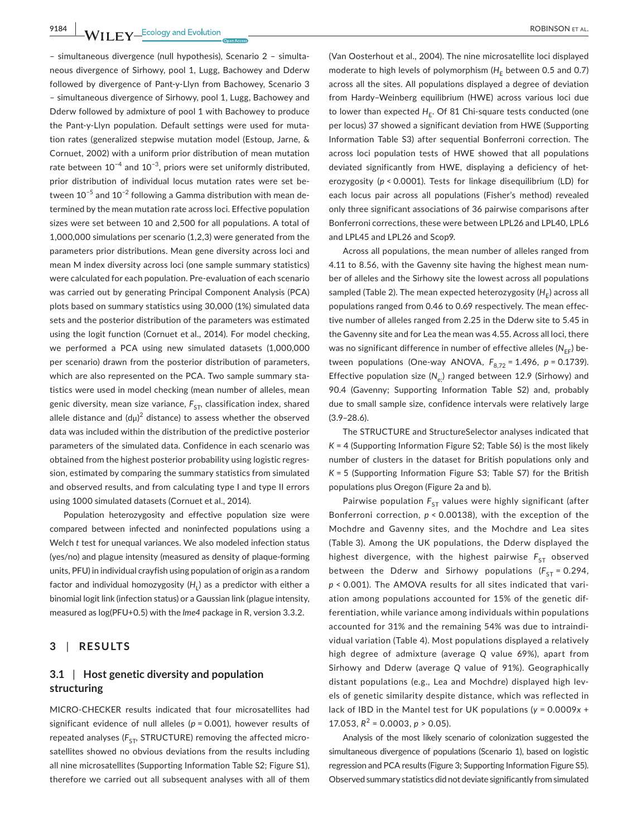**9184 WII FY** Ecology and Evolution **and Experiment Construction** ROBINSON ET AL.

– simultaneous divergence (null hypothesis), Scenario 2 – simultaneous divergence of Sirhowy, pool 1, Lugg, Bachowey and Dderw followed by divergence of Pant-y-Llyn from Bachowey, Scenario 3 – simultaneous divergence of Sirhowy, pool 1, Lugg, Bachowey and Dderw followed by admixture of pool 1 with Bachowey to produce the Pant-y-Llyn population. Default settings were used for mutation rates (generalized stepwise mutation model (Estoup, Jarne, & Cornuet, 2002) with a uniform prior distribution of mean mutation rate between  $10^{-4}$  and  $10^{-3}$ , priors were set uniformly distributed, prior distribution of individual locus mutation rates were set between 10−5 and 10−2 following a Gamma distribution with mean determined by the mean mutation rate across loci. Effective population sizes were set between 10 and 2,500 for all populations. A total of 1,000,000 simulations per scenario (1,2,3) were generated from the parameters prior distributions. Mean gene diversity across loci and mean M index diversity across loci (one sample summary statistics) were calculated for each population. Pre-evaluation of each scenario was carried out by generating Principal Component Analysis (PCA) plots based on summary statistics using 30,000 (1%) simulated data sets and the posterior distribution of the parameters was estimated using the logit function (Cornuet et al., 2014). For model checking, we performed a PCA using new simulated datasets (1,000,000 per scenario) drawn from the posterior distribution of parameters, which are also represented on the PCA. Two sample summary statistics were used in model checking (mean number of alleles, mean genic diversity, mean size variance,  $F_{ST}$ , classification index, shared allele distance and  $(d\mu)^2$  distance) to assess whether the observed data was included within the distribution of the predictive posterior parameters of the simulated data. Confidence in each scenario was obtained from the highest posterior probability using logistic regression, estimated by comparing the summary statistics from simulated and observed results, and from calculating type I and type II errors using 1000 simulated datasets (Cornuet et al., 2014).

Population heterozygosity and effective population size were compared between infected and noninfected populations using a Welch *t* test for unequal variances. We also modeled infection status (yes/no) and plague intensity (measured as density of plaque-forming units, PFU) in individual crayfish using population of origin as a random factor and individual homozygosity  $(H<sub>1</sub>)$  as a predictor with either a binomial logit link (infection status) or a Gaussian link (plague intensity, measured as log(PFU+0.5) with the *lme4* package in R, version 3.3.2.

#### **3** | **RESULTS**

#### **3.1** | **Host genetic diversity and population structuring**

MICRO-CHECKER results indicated that four microsatellites had significant evidence of null alleles (*p* = 0.001), however results of repeated analyses ( $F_{ST}$ , STRUCTURE) removing the affected microsatellites showed no obvious deviations from the results including all nine microsatellites (Supporting Information Table S2; Figure S1), therefore we carried out all subsequent analyses with all of them (Van Oosterhout et al., 2004). The nine microsatellite loci displayed moderate to high levels of polymorphism (H<sub>F</sub> between 0.5 and 0.7) across all the sites. All populations displayed a degree of deviation from Hardy–Weinberg equilibrium (HWE) across various loci due to lower than expected  $H_F$ . Of 81 Chi-square tests conducted (one per locus) 37 showed a significant deviation from HWE (Supporting Information Table S3) after sequential Bonferroni correction. The across loci population tests of HWE showed that all populations deviated significantly from HWE, displaying a deficiency of heterozygosity (*p* < 0.0001). Tests for linkage disequilibrium (LD) for each locus pair across all populations (Fisher's method) revealed only three significant associations of 36 pairwise comparisons after Bonferroni corrections, these were between LPL26 and LPL40, LPL6 and LPL45 and LPL26 and Scop9.

Across all populations, the mean number of alleles ranged from 4.11 to 8.56, with the Gavenny site having the highest mean number of alleles and the Sirhowy site the lowest across all populations sampled (Table 2). The mean expected heterozygosity (H<sub>E</sub>) across all populations ranged from 0.46 to 0.69 respectively. The mean effective number of alleles ranged from 2.25 in the Dderw site to 5.45 in the Gavenny site and for Lea the mean was 4.55. Across all loci, there was no significant difference in number of effective alleles (N<sub>EF</sub>) between populations (One-way ANOVA,  $F_{8,72} = 1.496$ ,  $p = 0.1739$ ). Effective population size (N<sub>e</sub>.) ranged between 12.9 (Sirhowy) and 90.4 (Gavenny; Supporting Information Table S2) and, probably due to small sample size, confidence intervals were relatively large (3.9–28.6).

The STRUCTURE and StructureSelector analyses indicated that *K* = 4 (Supporting Information Figure S2; Table S6) is the most likely number of clusters in the dataset for British populations only and *K* = 5 (Supporting Information Figure S3; Table S7) for the British populations plus Oregon (Figure 2a and b).

Pairwise population  $F_{ST}$  values were highly significant (after Bonferroni correction, *p* < 0.00138), with the exception of the Mochdre and Gavenny sites, and the Mochdre and Lea sites (Table 3). Among the UK populations, the Dderw displayed the highest divergence, with the highest pairwise F<sub>ST</sub> observed between the Dderw and Sirhowy populations ( $F_{ST} = 0.294$ , *p* < 0.001). The AMOVA results for all sites indicated that variation among populations accounted for 15% of the genetic differentiation, while variance among individuals within populations accounted for 31% and the remaining 54% was due to intraindividual variation (Table 4). Most populations displayed a relatively high degree of admixture (average *Q* value 69%), apart from Sirhowy and Dderw (average *Q* value of 91%). Geographically distant populations (e.g., Lea and Mochdre) displayed high levels of genetic similarity despite distance, which was reflected in lack of IBD in the Mantel test for UK populations (*y* = 0.0009*x* + 17.053,  $R^2$  = 0.0003,  $p > 0.05$ ).

Analysis of the most likely scenario of colonization suggested the simultaneous divergence of populations (Scenario 1), based on logistic regression and PCA results (Figure 3; Supporting Information Figure S5). Observed summary statistics did not deviate significantly from simulated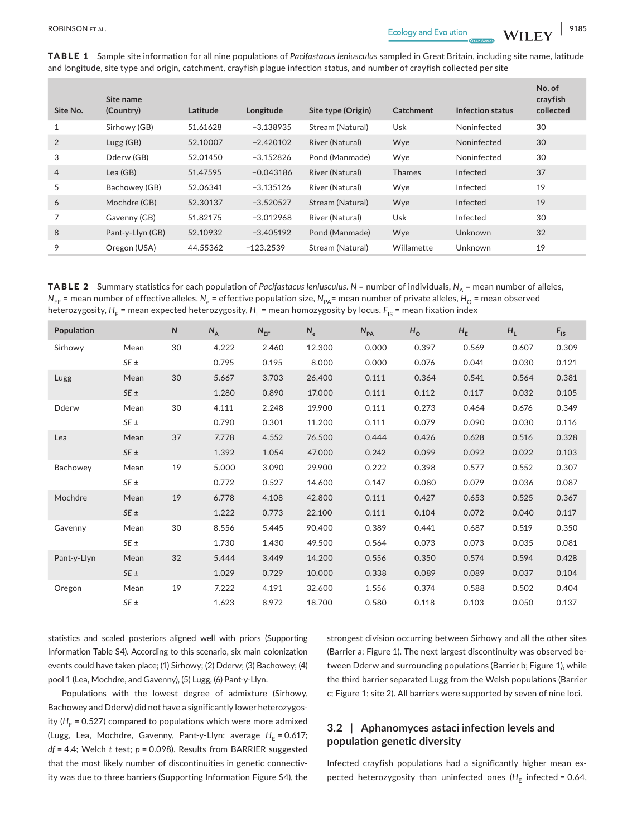TABLE 1 Sample site information for all nine populations of *Pacifastacus leniusculus* sampled in Great Britain, including site name, latitude and longitude, site type and origin, catchment, crayfish plague infection status, and number of crayfish collected per site

| Site No.       | Site name<br>(Country) | Latitude | Longitude   | Site type (Origin) | Catchment     | Infection status | No. of<br>crayfish<br>collected |
|----------------|------------------------|----------|-------------|--------------------|---------------|------------------|---------------------------------|
| 1              | Sirhowy (GB)           | 51.61628 | $-3.138935$ | Stream (Natural)   | Usk           | Noninfected      | 30                              |
| 2              | Lugs(GB)               | 52.10007 | $-2.420102$ | River (Natural)    | Wye           | Noninfected      | 30                              |
| 3              | Dderw (GB)             | 52.01450 | $-3.152826$ | Pond (Manmade)     | Wye           | Noninfected      | 30                              |
| $\overline{4}$ | Lea (GB)               | 51.47595 | $-0.043186$ | River (Natural)    | <b>Thames</b> | Infected         | 37                              |
| 5              | Bachowey (GB)          | 52.06341 | $-3.135126$ | River (Natural)    | Wye           | Infected         | 19                              |
| 6              | Mochdre (GB)           | 52.30137 | $-3.520527$ | Stream (Natural)   | Wye           | Infected         | 19                              |
| 7              | Gavenny (GB)           | 51.82175 | $-3.012968$ | River (Natural)    | Usk           | Infected         | 30                              |
| 8              | Pant-y-Llyn (GB)       | 52.10932 | $-3.405192$ | Pond (Manmade)     | Wye           | Unknown          | 32                              |
| 9              | Oregon (USA)           | 44.55362 | $-123.2539$ | Stream (Natural)   | Willamette    | Unknown          | 19                              |

TABLE 2 Summary statistics for each population of *Pacifastacus leniusculus*. *N* = number of individuals, *N*<sub>A</sub> = mean number of alleles,  $N_{EF}$  = mean number of effective alleles,  $N_e$  = effective population size,  $N_{PA}$ = mean number of private alleles,  $H_0$  = mean observed heterozygosity, *H*<sub>E</sub> = mean expected heterozygosity, *H*<sub>L</sub> = mean homozygosity by locus, *F*<sub>IS</sub> = mean fixation index

| Population  |          | N  | $N_A$ | $N_{EF}$ | $N_e$  | $N_{PA}$ | $H_{\rm O}$ | $H_{E}$ | $H_L$ | $F_{\text{IS}}$ |
|-------------|----------|----|-------|----------|--------|----------|-------------|---------|-------|-----------------|
| Sirhowy     | Mean     | 30 | 4.222 | 2.460    | 12.300 | 0.000    | 0.397       | 0.569   | 0.607 | 0.309           |
|             | $SE \pm$ |    | 0.795 | 0.195    | 8.000  | 0.000    | 0.076       | 0.041   | 0.030 | 0.121           |
| Lugg        | Mean     | 30 | 5.667 | 3.703    | 26.400 | 0.111    | 0.364       | 0.541   | 0.564 | 0.381           |
|             | $SE \pm$ |    | 1.280 | 0.890    | 17.000 | 0.111    | 0.112       | 0.117   | 0.032 | 0.105           |
| Dderw       | Mean     | 30 | 4.111 | 2.248    | 19.900 | 0.111    | 0.273       | 0.464   | 0.676 | 0.349           |
|             | $SE \pm$ |    | 0.790 | 0.301    | 11.200 | 0.111    | 0.079       | 0.090   | 0.030 | 0.116           |
| Lea         | Mean     | 37 | 7.778 | 4.552    | 76.500 | 0.444    | 0.426       | 0.628   | 0.516 | 0.328           |
|             | $SE \pm$ |    | 1.392 | 1.054    | 47.000 | 0.242    | 0.099       | 0.092   | 0.022 | 0.103           |
| Bachowey    | Mean     | 19 | 5.000 | 3.090    | 29.900 | 0.222    | 0.398       | 0.577   | 0.552 | 0.307           |
|             | $SE \pm$ |    | 0.772 | 0.527    | 14.600 | 0.147    | 0.080       | 0.079   | 0.036 | 0.087           |
| Mochdre     | Mean     | 19 | 6.778 | 4.108    | 42.800 | 0.111    | 0.427       | 0.653   | 0.525 | 0.367           |
|             | $SE \pm$ |    | 1.222 | 0.773    | 22.100 | 0.111    | 0.104       | 0.072   | 0.040 | 0.117           |
| Gavenny     | Mean     | 30 | 8.556 | 5.445    | 90.400 | 0.389    | 0.441       | 0.687   | 0.519 | 0.350           |
|             | $SE \pm$ |    | 1.730 | 1.430    | 49.500 | 0.564    | 0.073       | 0.073   | 0.035 | 0.081           |
| Pant-y-Llyn | Mean     | 32 | 5.444 | 3.449    | 14.200 | 0.556    | 0.350       | 0.574   | 0.594 | 0.428           |
|             | $SE \pm$ |    | 1.029 | 0.729    | 10.000 | 0.338    | 0.089       | 0.089   | 0.037 | 0.104           |
| Oregon      | Mean     | 19 | 7.222 | 4.191    | 32.600 | 1.556    | 0.374       | 0.588   | 0.502 | 0.404           |
|             | $SE \pm$ |    | 1.623 | 8.972    | 18.700 | 0.580    | 0.118       | 0.103   | 0.050 | 0.137           |

statistics and scaled posteriors aligned well with priors (Supporting Information Table S4). According to this scenario, six main colonization events could have taken place; (1) Sirhowy; (2) Dderw; (3) Bachowey; (4) pool 1 (Lea, Mochdre, and Gavenny), (5) Lugg, (6) Pant-y-Llyn.

Populations with the lowest degree of admixture (Sirhowy, Bachowey and Dderw) did not have a significantly lower heterozygosity ( $H<sub>E</sub>$  = 0.527) compared to populations which were more admixed (Lugg, Lea, Mochdre, Gavenny, Pant-y-Llyn; average H<sub>F</sub> = 0.617; *df* = 4.4; Welch *t* test; *p* = 0.098). Results from BARRIER suggested that the most likely number of discontinuities in genetic connectivity was due to three barriers (Supporting Information Figure S4), the strongest division occurring between Sirhowy and all the other sites (Barrier a; Figure 1). The next largest discontinuity was observed between Dderw and surrounding populations (Barrier b; Figure 1), while the third barrier separated Lugg from the Welsh populations (Barrier c; Figure 1; site 2). All barriers were supported by seven of nine loci.

## **3.2** | **Aphanomyces astaci infection levels and population genetic diversity**

Infected crayfish populations had a significantly higher mean expected heterozygosity than uninfected ones  $(H_E$  infected = 0.64,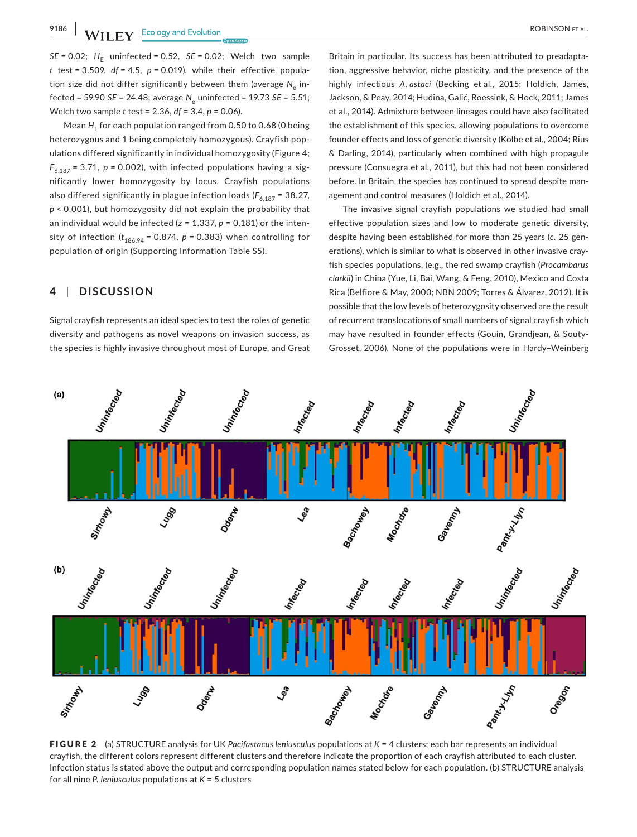**9186 WII FY** Ecology and Evolution **and Experiment Construction** ROBINSON ET AL.

 $SE = 0.02$ ;  $H_E$  uninfected = 0.52,  $SE = 0.02$ ; Welch two sample  $t$  test = 3.509,  $df = 4.5$ ,  $p = 0.019$ ), while their effective population size did not differ significantly between them (average N<sub>c</sub> infected = 59.90 *SE* = 24.48; average *N*e uninfected = 19.73 *SE* = 5.51; Welch two sample *t* test = 2.36, *df* = 3.4, *p* = 0.06).

Mean *H*<sub>L</sub> for each population ranged from 0.50 to 0.68 (0 being heterozygous and 1 being completely homozygous). Crayfish populations differed significantly in individual homozygosity (Figure 4;  $F_{6,187}$  = 3.71,  $p$  = 0.002), with infected populations having a significantly lower homozygosity by locus. Crayfish populations also differed significantly in plague infection loads ( $F_{6,187}$  = 38.27, *p* < 0.001), but homozygosity did not explain the probability that an individual would be infected (*z* = 1.337, *p* = 0.181) or the intensity of infection  $(t_{186.94} = 0.874, p = 0.383)$  when controlling for population of origin (Supporting Information Table S5).

#### **4** | **DISCUSSION**

Signal crayfish represents an ideal species to test the roles of genetic diversity and pathogens as novel weapons on invasion success, as the species is highly invasive throughout most of Europe, and Great

Britain in particular. Its success has been attributed to preadaptation, aggressive behavior, niche plasticity, and the presence of the highly infectious *A. astaci* (Becking et al., 2015; Holdich, James, Jackson, & Peay, 2014; Hudina, Galić, Roessink, & Hock, 2011; James et al., 2014). Admixture between lineages could have also facilitated the establishment of this species, allowing populations to overcome founder effects and loss of genetic diversity (Kolbe et al., 2004; Rius & Darling, 2014), particularly when combined with high propagule pressure (Consuegra et al., 2011), but this had not been considered before. In Britain, the species has continued to spread despite management and control measures (Holdich et al., 2014).

The invasive signal crayfish populations we studied had small effective population sizes and low to moderate genetic diversity, despite having been established for more than 25 years (*c.* 25 generations), which is similar to what is observed in other invasive crayfish species populations, (e.g., the red swamp crayfish (*Procambarus clarkii*) in China (Yue, Li, Bai, Wang, & Feng, 2010), Mexico and Costa Rica (Belfiore & May, 2000; NBN 2009; Torres & Álvarez, 2012). It is possible that the low levels of heterozygosity observed are the result of recurrent translocations of small numbers of signal crayfish which may have resulted in founder effects (Gouin, Grandjean, & Souty-Grosset, 2006). None of the populations were in Hardy–Weinberg



FIGURE 2 (a) STRUCTURE analysis for UK *Pacifastacus leniusculus* populations at *K* = 4 clusters; each bar represents an individual crayfish, the different colors represent different clusters and therefore indicate the proportion of each crayfish attributed to each cluster. Infection status is stated above the output and corresponding population names stated below for each population. (b) STRUCTURE analysis for all nine *P. leniusculus* populations at *K* = 5 clusters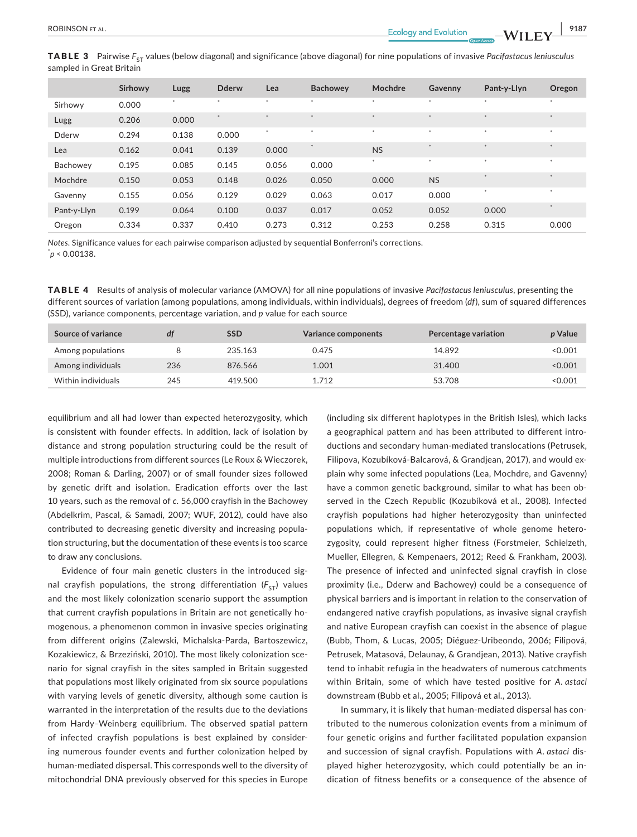**TABLE 3** Pairwise  $F_{ST}$  values (below diagonal) and significance (above diagonal) for nine populations of invasive *Pacifastacus leniusculus* sampled in Great Britain

|             | Sirhowy | Lugg    | <b>Dderw</b> | Lea    | <b>Bachowev</b> | Mochdre   | Gavenny   | Pant-y-Llyn        | Oregon |
|-------------|---------|---------|--------------|--------|-----------------|-----------|-----------|--------------------|--------|
| Sirhowy     | 0.000   | $\star$ | $\star$      | $\ast$ | $\ast$          | $\star$   | $\ast$    | $\ast$             | $\ast$ |
| Lugg        | 0.206   | 0.000   |              |        | $\star$         | $\star$   |           | $\star$            | $\ast$ |
| Dderw       | 0.294   | 0.138   | 0.000        | $\ast$ | $\ast$          | $\ast$    | $\star$   | $\ast$             | $\ast$ |
| Lea         | 0.162   | 0.041   | 0.139        | 0.000  | $\ast$          | <b>NS</b> | $\star$   | $\ast$             | $\ast$ |
| Bachowey    | 0.195   | 0.085   | 0.145        | 0.056  | 0.000           | $\ast$    | $\ast$    | $\ast$             | $\ast$ |
| Mochdre     | 0.150   | 0.053   | 0.148        | 0.026  | 0.050           | 0.000     | <b>NS</b> | $\dot{\mathbf{x}}$ | $\ast$ |
| Gavenny     | 0.155   | 0.056   | 0.129        | 0.029  | 0.063           | 0.017     | 0.000     | $\star$            | $\ast$ |
| Pant-y-Llyn | 0.199   | 0.064   | 0.100        | 0.037  | 0.017           | 0.052     | 0.052     | 0.000              | $\ast$ |
| Oregon      | 0.334   | 0.337   | 0.410        | 0.273  | 0.312           | 0.253     | 0.258     | 0.315              | 0.000  |

*Notes*. Significance values for each pairwise comparison adjusted by sequential Bonferroni's corrections. \* *p* < 0.00138.

TABLE 4 Results of analysis of molecular variance (AMOVA) for all nine populations of invasive *Pacifastacus leniusculus*, presenting the different sources of variation (among populations, among individuals, within individuals), degrees of freedom (*df*), sum of squared differences (SSD), variance components, percentage variation, and *p* value for each source

| Source of variance | df  | SSD     | <b>Variance components</b> | Percentage variation | p Value |
|--------------------|-----|---------|----------------------------|----------------------|---------|
| Among populations  |     | 235.163 | 0.475                      | 14.892               | < 0.001 |
| Among individuals  | 236 | 876.566 | 1.001                      | 31,400               | < 0.001 |
| Within individuals | 245 | 419.500 | 1.712                      | 53.708               | < 0.001 |

equilibrium and all had lower than expected heterozygosity, which is consistent with founder effects. In addition, lack of isolation by distance and strong population structuring could be the result of multiple introductions from different sources (Le Roux & Wieczorek, 2008; Roman & Darling, 2007) or of small founder sizes followed by genetic drift and isolation. Eradication efforts over the last 10 years, such as the removal of *c.* 56,000 crayfish in the Bachowey (Abdelkrim, Pascal, & Samadi, 2007; WUF, 2012), could have also contributed to decreasing genetic diversity and increasing population structuring, but the documentation of these events is too scarce to draw any conclusions.

Evidence of four main genetic clusters in the introduced signal crayfish populations, the strong differentiation  $(F_{ST})$  values and the most likely colonization scenario support the assumption that current crayfish populations in Britain are not genetically homogenous, a phenomenon common in invasive species originating from different origins (Zalewski, Michalska-Parda, Bartoszewicz, Kozakiewicz, & Brzeziński, 2010). The most likely colonization scenario for signal crayfish in the sites sampled in Britain suggested that populations most likely originated from six source populations with varying levels of genetic diversity, although some caution is warranted in the interpretation of the results due to the deviations from Hardy–Weinberg equilibrium. The observed spatial pattern of infected crayfish populations is best explained by considering numerous founder events and further colonization helped by human-mediated dispersal. This corresponds well to the diversity of mitochondrial DNA previously observed for this species in Europe

(including six different haplotypes in the British Isles), which lacks a geographical pattern and has been attributed to different introductions and secondary human-mediated translocations (Petrusek, Filipova, Kozubíková-Balcarová, & Grandjean, 2017), and would explain why some infected populations (Lea, Mochdre, and Gavenny) have a common genetic background, similar to what has been observed in the Czech Republic (Kozubíková et al., 2008). Infected crayfish populations had higher heterozygosity than uninfected populations which, if representative of whole genome heterozygosity, could represent higher fitness (Forstmeier, Schielzeth, Mueller, Ellegren, & Kempenaers, 2012; Reed & Frankham, 2003). The presence of infected and uninfected signal crayfish in close proximity (i.e., Dderw and Bachowey) could be a consequence of physical barriers and is important in relation to the conservation of endangered native crayfish populations, as invasive signal crayfish and native European crayfish can coexist in the absence of plague (Bubb, Thom, & Lucas, 2005; Diéguez-Uribeondo, 2006; Filipová, Petrusek, Matasová, Delaunay, & Grandjean, 2013). Native crayfish tend to inhabit refugia in the headwaters of numerous catchments within Britain, some of which have tested positive for *A. astaci* downstream (Bubb et al., 2005; Filipová et al., 2013).

In summary, it is likely that human-mediated dispersal has contributed to the numerous colonization events from a minimum of four genetic origins and further facilitated population expansion and succession of signal crayfish. Populations with *A. astaci* displayed higher heterozygosity, which could potentially be an indication of fitness benefits or a consequence of the absence of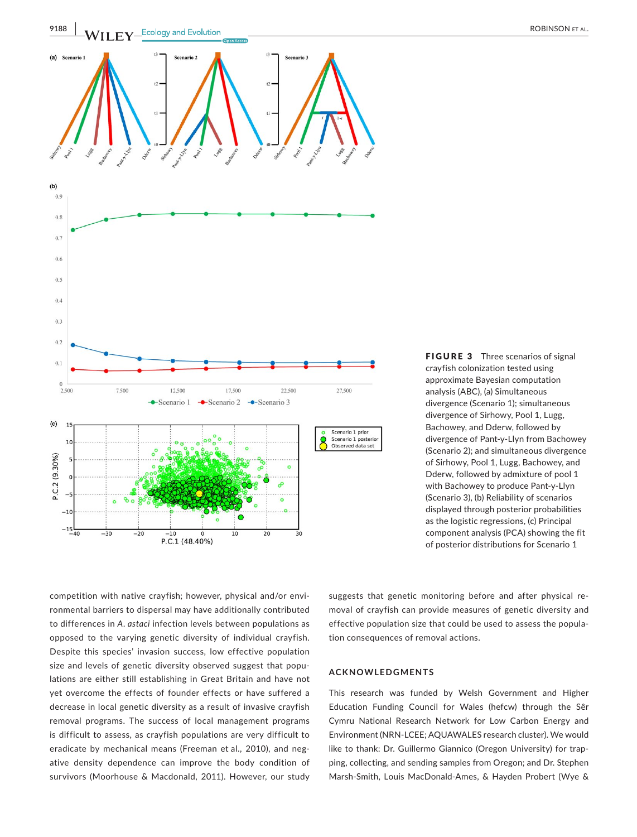

FIGURE 3 Three scenarios of signal crayfish colonization tested using approximate Bayesian computation analysis (ABC), (a) Simultaneous divergence (Scenario 1); simultaneous divergence of Sirhowy, Pool 1, Lugg, Bachowey, and Dderw, followed by divergence of Pant-y-Llyn from Bachowey (Scenario 2); and simultaneous divergence of Sirhowy, Pool 1, Lugg, Bachowey, and Dderw, followed by admixture of pool 1 with Bachowey to produce Pant-y-Llyn (Scenario 3), (b) Reliability of scenarios displayed through posterior probabilities as the logistic regressions, (c) Principal component analysis (PCA) showing the fit of posterior distributions for Scenario 1

competition with native crayfish; however, physical and/or environmental barriers to dispersal may have additionally contributed to differences in *A. astaci* infection levels between populations as opposed to the varying genetic diversity of individual crayfish. Despite this species' invasion success, low effective population size and levels of genetic diversity observed suggest that populations are either still establishing in Great Britain and have not yet overcome the effects of founder effects or have suffered a decrease in local genetic diversity as a result of invasive crayfish removal programs. The success of local management programs is difficult to assess, as crayfish populations are very difficult to eradicate by mechanical means (Freeman et al., 2010), and negative density dependence can improve the body condition of survivors (Moorhouse & Macdonald, 2011). However, our study

suggests that genetic monitoring before and after physical removal of crayfish can provide measures of genetic diversity and effective population size that could be used to assess the population consequences of removal actions.

#### **ACKNOWLEDGMENTS**

This research was funded by Welsh Government and Higher Education Funding Council for Wales (hefcw) through the Sêr Cymru National Research Network for Low Carbon Energy and Environment (NRN-LCEE; AQUAWALES research cluster). We would like to thank: Dr. Guillermo Giannico (Oregon University) for trapping, collecting, and sending samples from Oregon; and Dr. Stephen Marsh-Smith, Louis MacDonald-Ames, & Hayden Probert (Wye &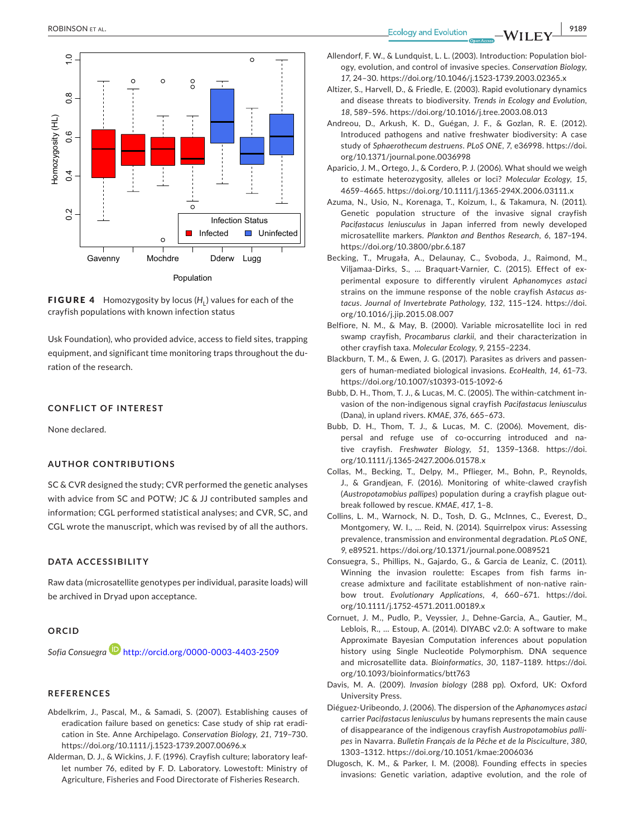

FIGURE 4 Homozygosity by locus (H<sub>1</sub>) values for each of the crayfish populations with known infection status

Usk Foundation), who provided advice, access to field sites, trapping equipment, and significant time monitoring traps throughout the duration of the research.

#### **CONFLICT OF INTEREST**

None declared.

#### **AUTHOR CONTRIBUTIONS**

SC & CVR designed the study; CVR performed the genetic analyses with advice from SC and POTW; JC & JJ contributed samples and information; CGL performed statistical analyses; and CVR, SC, and CGL wrote the manuscript, which was revised by of all the authors.

#### **DATA ACCESSIBILITY**

Raw data (microsatellite genotypes per individual, parasite loads) will be archived in Dryad upon acceptance.

#### **ORCID**

*Sofia Consuegra* http://orcid.org/0000-0003-4403-2509

#### **REFERENCES**

- Abdelkrim, J., Pascal, M., & Samadi, S. (2007). Establishing causes of eradication failure based on genetics: Case study of ship rat eradication in Ste. Anne Archipelago. *Conservation Biology*, *21*, 719–730. https://doi.org/10.1111/j.1523-1739.2007.00696.x
- Alderman, D. J., & Wickins, J. F. (1996). Crayfish culture; laboratory leaflet number 76, edited by F. D. Laboratory. Lowestoft: Ministry of Agriculture, Fisheries and Food Directorate of Fisheries Research.

- Allendorf, F. W., & Lundquist, L. L. (2003). Introduction: Population biology, evolution, and control of invasive species. *Conservation Biology*, *17*, 24–30. https://doi.org/10.1046/j.1523-1739.2003.02365.x
- Altizer, S., Harvell, D., & Friedle, E. (2003). Rapid evolutionary dynamics and disease threats to biodiversity. *Trends in Ecology and Evolution*, *18*, 589–596. https://doi.org/10.1016/j.tree.2003.08.013
- Andreou, D., Arkush, K. D., Guégan, J. F., & Gozlan, R. E. (2012). Introduced pathogens and native freshwater biodiversity: A case study of *Sphaerothecum destruens*. *PLoS ONE*, *7*, e36998. https://doi. org/10.1371/journal.pone.0036998
- Aparicio, J. M., Ortego, J., & Cordero, P. J. (2006). What should we weigh to estimate heterozygosity, alleles or loci? *Molecular Ecology*, *15*, 4659–4665. https://doi.org/10.1111/j.1365-294X.2006.03111.x
- Azuma, N., Usio, N., Korenaga, T., Koizum, I., & Takamura, N. (2011). Genetic population structure of the invasive signal crayfish *Pacifastacus leniusculus* in Japan inferred from newly developed microsatellite markers. *Plankton and Benthos Research*, *6*, 187–194. https://doi.org/10.3800/pbr.6.187
- Becking, T., Mrugała, A., Delaunay, C., Svoboda, J., Raimond, M., Viljamaa-Dirks, S., … Braquart-Varnier, C. (2015). Effect of experimental exposure to differently virulent *Aphanomyces astaci* strains on the immune response of the noble crayfish *Astacus astacus*. *Journal of Invertebrate Pathology*, *132*, 115–124. https://doi. org/10.1016/j.jip.2015.08.007
- Belfiore, N. M., & May, B. (2000). Variable microsatellite loci in red swamp crayfish, *Procambarus clarkii*, and their characterization in other crayfish taxa. *Molecular Ecology*, *9*, 2155–2234.
- Blackburn, T. M., & Ewen, J. G. (2017). Parasites as drivers and passengers of human-mediated biological invasions. *EcoHealth*, *14*, 61–73. https://doi.org/10.1007/s10393-015-1092-6
- Bubb, D. H., Thom, T. J., & Lucas, M. C. (2005). The within-catchment invasion of the non-indigenous signal crayfish *Pacifastacus leniusculus* (Dana), in upland rivers. *KMAE*, *376*, 665–673.
- Bubb, D. H., Thom, T. J., & Lucas, M. C. (2006). Movement, dispersal and refuge use of co-occurring introduced and native crayfish. *Freshwater Biology*, *51*, 1359–1368. https://doi. org/10.1111/j.1365-2427.2006.01578.x
- Collas, M., Becking, T., Delpy, M., Pflieger, M., Bohn, P., Reynolds, J., & Grandjean, F. (2016). Monitoring of white-clawed crayfish (*Austropotamobius pallipes*) population during a crayfish plague outbreak followed by rescue. *KMAE*, *417*, 1–8.
- Collins, L. M., Warnock, N. D., Tosh, D. G., McInnes, C., Everest, D., Montgomery, W. I., … Reid, N. (2014). Squirrelpox virus: Assessing prevalence, transmission and environmental degradation. *PLoS ONE*, *9*, e89521. https://doi.org/10.1371/journal.pone.0089521
- Consuegra, S., Phillips, N., Gajardo, G., & Garcia de Leaniz, C. (2011). Winning the invasion roulette: Escapes from fish farms increase admixture and facilitate establishment of non-native rainbow trout. *Evolutionary Applications*, *4*, 660–671. https://doi. org/10.1111/j.1752-4571.2011.00189.x
- Cornuet, J. M., Pudlo, P., Veyssier, J., Dehne-Garcia, A., Gautier, M., Leblois, R., … Estoup, A. (2014). DIYABC v2.0: A software to make Approximate Bayesian Computation inferences about population history using Single Nucleotide Polymorphism. DNA sequence and microsatellite data. *Bioinformatics*, *30*, 1187–1189. https://doi. org/10.1093/bioinformatics/btt763
- Davis, M. A. (2009). *Invasion biology* (288 pp). Oxford, UK: Oxford University Press.
- Diéguez-Uribeondo, J. (2006). The dispersion of the *Aphanomyces astaci* carrier *Pacifastacus leniusculus* by humans represents the main cause of disappearance of the indigenous crayfish *Austropotamobius pallipes* in Navarra. *Bulletin Français de la Pêche et de la Pisciculture*, *380*, 1303–1312. https://doi.org/10.1051/kmae:2006036
- Dlugosch, K. M., & Parker, I. M. (2008). Founding effects in species invasions: Genetic variation, adaptive evolution, and the role of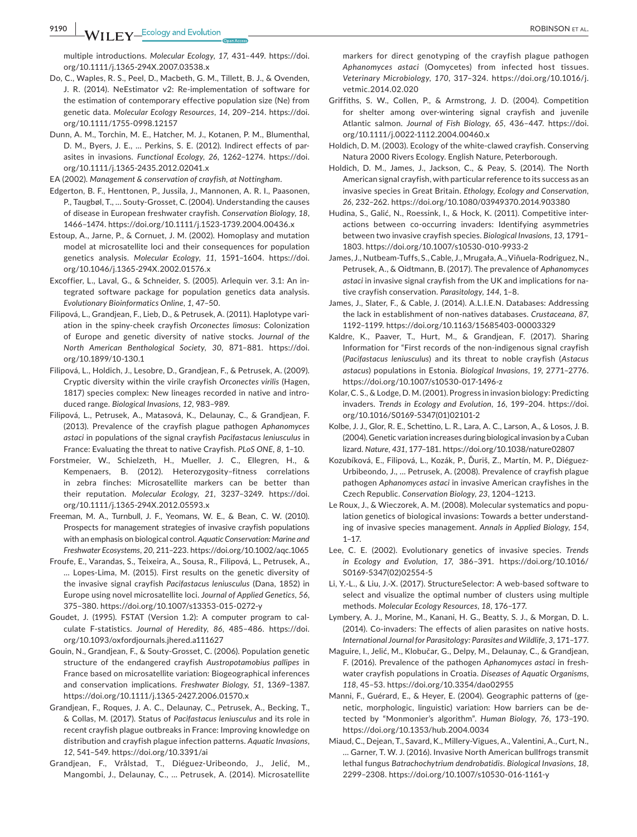**9190 |**  ROBINSON et al.

multiple introductions. *Molecular Ecology*, *17*, 431–449. https://doi. org/10.1111/j.1365-294X.2007.03538.x

- Do, C., Waples, R. S., Peel, D., Macbeth, G. M., Tillett, B. J., & Ovenden, J. R. (2014). NeEstimator v2: Re-implementation of software for the estimation of contemporary effective population size (Ne) from genetic data. *Molecular Ecology Resources*, *14*, 209–214. https://doi. org/10.1111/1755-0998.12157
- Dunn, A. M., Torchin, M. E., Hatcher, M. J., Kotanen, P. M., Blumenthal, D. M., Byers, J. E., … Perkins, S. E. (2012). Indirect effects of parasites in invasions. *Functional Ecology*, *26*, 1262–1274. https://doi. org/10.1111/j.1365-2435.2012.02041.x

EA (2002). *Management & conservation of crayfish, at Nottingham*.

- Edgerton, B. F., Henttonen, P., Jussila, J., Mannonen, A. R. I., Paasonen, P., Taugbøl, T., … Souty-Grosset, C. (2004). Understanding the causes of disease in European freshwater crayfish. *Conservation Biology*, *18*, 1466–1474. https://doi.org/10.1111/j.1523-1739.2004.00436.x
- Estoup, A., Jarne, P., & Cornuet, J. M. (2002). Homoplasy and mutation model at microsatellite loci and their consequences for population genetics analysis. *Molecular Ecology*, *11*, 1591–1604. https://doi. org/10.1046/j.1365-294X.2002.01576.x
- Excoffier, L., Laval, G., & Schneider, S. (2005). Arlequin ver. 3.1: An integrated software package for population genetics data analysis. *Evolutionary Bioinformatics Online*, *1*, 47–50.
- Filipová, L., Grandjean, F., Lieb, D., & Petrusek, A. (2011). Haplotype variation in the spiny-cheek crayfish *Orconectes limosus*: Colonization of Europe and genetic diversity of native stocks. *Journal of the North American Benthological Society*, *30*, 871–881. https://doi. org/10.1899/10-130.1
- Filipová, L., Holdich, J., Lesobre, D., Grandjean, F., & Petrusek, A. (2009). Cryptic diversity within the virile crayfish *Orconectes virilis* (Hagen, 1817) species complex: New lineages recorded in native and introduced range. *Biological Invasions*, *12*, 983–989.
- Filipová, L., Petrusek, A., Matasová, K., Delaunay, C., & Grandjean, F. (2013). Prevalence of the crayfish plague pathogen *Aphanomyces astaci* in populations of the signal crayfish *Pacifastacus leniusculus* in France: Evaluating the threat to native Crayfish. *PLoS ONE*, *8*, 1–10.
- Forstmeier, W., Schielzeth, H., Mueller, J. C., Ellegren, H., & Kempenaers, B. (2012). Heterozygosity–fitness correlations in zebra finches: Microsatellite markers can be better than their reputation. *Molecular Ecology*, *21*, 3237–3249. https://doi. org/10.1111/j.1365-294X.2012.05593.x
- Freeman, M. A., Turnbull, J. F., Yeomans, W. E., & Bean, C. W. (2010). Prospects for management strategies of invasive crayfish populations with an emphasis on biological control. *Aquatic Conservation: Marine and Freshwater Ecosystems*, *20*, 211–223. https://doi.org/10.1002/aqc.1065
- Froufe, E., Varandas, S., Teixeira, A., Sousa, R., Filipová, L., Petrusek, A., … Lopes-Lima, M. (2015). First results on the genetic diversity of the invasive signal crayfish *Pacifastacus leniusculus* (Dana, 1852) in Europe using novel microsatellite loci. *Journal of Applied Genetics*, *56*, 375–380. https://doi.org/10.1007/s13353-015-0272-y
- Goudet, J. (1995). FSTAT (Version 1.2): A computer program to calculate F-statistics. *Journal of Heredity*, *86*, 485–486. https://doi. org/10.1093/oxfordjournals.jhered.a111627
- Gouin, N., Grandjean, F., & Souty-Grosset, C. (2006). Population genetic structure of the endangered crayfish *Austropotamobius pallipes* in France based on microsatellite variation: Biogeographical inferences and conservation implications. *Freshwater Biology*, *51*, 1369–1387. https://doi.org/10.1111/j.1365-2427.2006.01570.x
- Grandjean, F., Roques, J. A. C., Delaunay, C., Petrusek, A., Becking, T., & Collas, M. (2017). Status of *Pacifastacus leniusculus* and its role in recent crayfish plague outbreaks in France: Improving knowledge on distribution and crayfish plague infection patterns. *Aquatic Invasions*, *12*, 541–549. https://doi.org/10.3391/ai
- Grandjean, F., Vrålstad, T., Diéguez-Uribeondo, J., Jelić, M., Mangombi, J., Delaunay, C., … Petrusek, A. (2014). Microsatellite

markers for direct genotyping of the crayfish plague pathogen *Aphanomyces astaci* (Oomycetes) from infected host tissues. *Veterinary Microbiology*, *170*, 317–324. https://doi.org/10.1016/j. vetmic.2014.02.020

- Griffiths, S. W., Collen, P., & Armstrong, J. D. (2004). Competition for shelter among over-wintering signal crayfish and juvenile Atlantic salmon. *Journal of Fish Biology*, *65*, 436–447. https://doi. org/10.1111/j.0022-1112.2004.00460.x
- Holdich, D. M. (2003). Ecology of the white-clawed crayfish. Conserving Natura 2000 Rivers Ecology. English Nature, Peterborough.
- Holdich, D. M., James, J., Jackson, C., & Peay, S. (2014). The North American signal crayfish, with particular reference to its success as an invasive species in Great Britain. *Ethology, Ecology and Conservation*, *26*, 232–262. https://doi.org/10.1080/03949370.2014.903380
- Hudina, S., Galić, N., Roessink, I., & Hock, K. (2011). Competitive interactions between co-occurring invaders: Identifying asymmetries between two invasive crayfish species. *Biological Invasions*, *13*, 1791– 1803. https://doi.org/10.1007/s10530-010-9933-2
- James, J., Nutbeam-Tuffs, S.,Cable, J., Mrugała,A.,Viñuela-Rodriguez, N., Petrusek, A., & Oidtmann, B. (2017). The prevalence of *Aphanomyces astaci* in invasive signal crayfish from the UK and implications for native crayfish conservation. *Parasitology*, *144*, 1–8.
- James, J., Slater, F., & Cable, J. (2014). A.L.I.E.N. Databases: Addressing the lack in establishment of non-natives databases. *Crustaceana*, *87*, 1192–1199. https://doi.org/10.1163/15685403-00003329
- Kaldre, K., Paaver, T., Hurt, M., & Grandjean, F. (2017). Sharing Information for "First records of the non-indigenous signal crayfish (*Pacifastacus leniusculus*) and its threat to noble crayfish (*Astacus astacus*) populations in Estonia. *Biological Invasions*, *19*, 2771–2776. https://doi.org/10.1007/s10530-017-1496-z
- Kolar, C. S., & Lodge, D. M. (2001). Progress in invasion biology: Predicting invaders. *Trends in Ecology and Evolution*, *16*, 199–204. https://doi. org/10.1016/S0169-5347(01)02101-2
- Kolbe, J. J., Glor, R. E., Schettino, L. R., Lara, A. C., Larson, A., & Losos, J. B. (2004). Genetic variation increases during biological invasion by a Cuban lizard. *Nature*, *431*, 177–181. https://doi.org/10.1038/nature02807
- Kozubíková, E., Filipová, L., Kozák, P., Ďuriš, Z., Martín, M. P., Diéguez-Urbibeondo, J., … Petrusek, A. (2008). Prevalence of crayfish plague pathogen *Aphanomyces astaci* in invasive American crayfishes in the Czech Republic. *Conservation Biology*, *23*, 1204–1213.
- Le Roux, J., & Wieczorek, A. M. (2008). Molecular systematics and population genetics of biological invasions: Towards a better understanding of invasive species management. *Annals in Applied Biology*, *154*, 1–17.
- Lee, C. E. (2002). Evolutionary genetics of invasive species. *Trends in Ecology and Evolution*, *17*, 386–391. https://doi.org/10.1016/ S0169-5347(02)02554-5
- Li, Y.-L., & Liu, J.-X. (2017). StructureSelector: A web-based software to select and visualize the optimal number of clusters using multiple methods. *Molecular Ecology Resources*, *18*, 176–177.
- Lymbery, A. J., Morine, M., Kanani, H. G., Beatty, S. J., & Morgan, D. L. (2014). Co-invaders: The effects of alien parasites on native hosts. *International Journal for Parasitology: Parasites and Wildlife*, *3*, 171–177.
- Maguire, I., Jelić, M., Klobučar, G., Delpy, M., Delaunay, C., & Grandjean, F. (2016). Prevalence of the pathogen *Aphanomyces astaci* in freshwater crayfish populations in Croatia. *Diseases of Aquatic Organisms*, *118*, 45–53. https://doi.org/10.3354/dao02955
- Manni, F., Guérard, E., & Heyer, E. (2004). Geographic patterns of (genetic, morphologic, linguistic) variation: How barriers can be detected by "Monmonier's algorithm". *Human Biology*, *76*, 173–190. https://doi.org/10.1353/hub.2004.0034
- Miaud, C., Dejean, T., Savard, K., Millery-Vigues, A., Valentini, A., Curt, N., … Garner, T. W. J. (2016). Invasive North American bullfrogs transmit lethal fungus *Batrachochytrium dendrobatidis*. *Biological Invasions*, *18*, 2299–2308. https://doi.org/10.1007/s10530-016-1161-y